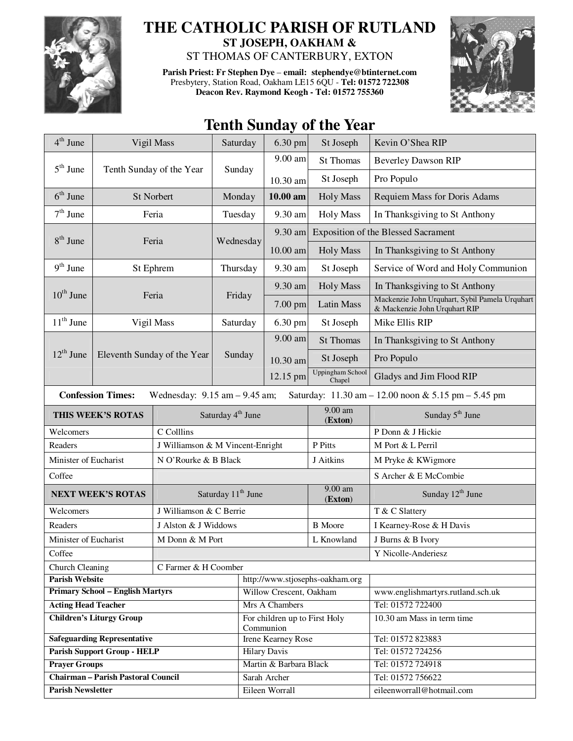

## **THE CATHOLIC PARISH OF RUTLAND ST JOSEPH, OAKHAM &**

ST THOMAS OF CANTERBURY, EXTON

**Parish Priest: Fr Stephen Dye** – **email: stephendye@btinternet.com** Presbytery, Station Road, Oakham LE15 6QU - **Tel: 01572 722308 Deacon Rev. Raymond Keogh - Tel: 01572 755360** 



## **Tenth Sunday of the Year**

| $4th$ June                                                                                                           | Vigil Mass                  |                                  | Saturday  | 6.30 pm                                               | St Joseph                  | Kevin O'Shea RIP                                                                |  |  |
|----------------------------------------------------------------------------------------------------------------------|-----------------------------|----------------------------------|-----------|-------------------------------------------------------|----------------------------|---------------------------------------------------------------------------------|--|--|
|                                                                                                                      | Tenth Sunday of the Year    |                                  | Sunday    | 9.00 am                                               | <b>St Thomas</b>           | <b>Beverley Dawson RIP</b>                                                      |  |  |
| $5th$ June                                                                                                           |                             |                                  |           | 10.30 am                                              | St Joseph                  | Pro Populo                                                                      |  |  |
| $6th$ June                                                                                                           | St Norbert                  |                                  | Monday    | 10.00 am                                              | <b>Holy Mass</b>           | Requiem Mass for Doris Adams                                                    |  |  |
| $7th$ June                                                                                                           | Feria                       |                                  | Tuesday   | 9.30 am                                               | <b>Holy Mass</b>           | In Thanksgiving to St Anthony                                                   |  |  |
| $8th$ June<br>Feria                                                                                                  |                             |                                  |           | 9.30 am                                               |                            | <b>Exposition of the Blessed Sacrament</b>                                      |  |  |
|                                                                                                                      |                             |                                  | Wednesday | 10.00 am                                              | <b>Holy Mass</b>           | In Thanksgiving to St Anthony                                                   |  |  |
| $9th$ June                                                                                                           | St Ephrem                   |                                  | Thursday  | 9.30 am                                               | St Joseph                  | Service of Word and Holy Communion                                              |  |  |
|                                                                                                                      |                             |                                  | Friday    | 9.30 am                                               | <b>Holy Mass</b>           | In Thanksgiving to St Anthony                                                   |  |  |
| $10^{\text{th}}$ June                                                                                                |                             | Feria                            |           | $7.00$ pm                                             | <b>Latin Mass</b>          | Mackenzie John Urquhart, Sybil Pamela Urquhart<br>& Mackenzie John Urquhart RIP |  |  |
| $11th$ June                                                                                                          | Vigil Mass                  |                                  | Saturday  | 6.30 pm                                               | St Joseph                  | Mike Ellis RIP                                                                  |  |  |
|                                                                                                                      | Eleventh Sunday of the Year |                                  | Sunday    | 9.00 am                                               | <b>St Thomas</b>           | In Thanksgiving to St Anthony                                                   |  |  |
| $12^{\text{th}}$ June                                                                                                |                             |                                  |           | 10.30 am                                              | St Joseph                  | Pro Populo                                                                      |  |  |
|                                                                                                                      |                             |                                  |           | 12.15 pm                                              | Uppingham School<br>Chapel | Gladys and Jim Flood RIP                                                        |  |  |
| <b>Confession Times:</b><br>Saturday: 11.30 am - 12.00 noon & 5.15 pm - 5.45 pm<br>Wednesday: $9.15$ am $- 9.45$ am; |                             |                                  |           |                                                       |                            |                                                                                 |  |  |
| THIS WEEK'S ROTAS                                                                                                    |                             |                                  |           | $9.00$ am<br>Saturday 4 <sup>th</sup> June<br>(Exton) |                            | Sunday 5 <sup>th</sup> June                                                     |  |  |
| Welcomers                                                                                                            |                             | C Colllins                       |           |                                                       |                            | P Donn & J Hickie                                                               |  |  |
| Readers                                                                                                              |                             | J Williamson & M Vincent-Enright |           |                                                       | P Pitts                    | M Port & L Perril                                                               |  |  |
| Minister of Eucharist                                                                                                |                             | N O'Rourke & B Black             |           |                                                       | J Aitkins                  | M Pryke & KWigmore                                                              |  |  |
| Coffee                                                                                                               |                             |                                  |           |                                                       |                            | S Archer & E McCombie                                                           |  |  |
| <b>NEXT WEEK'S ROTAS</b>                                                                                             |                             | Saturday 11 <sup>th</sup> June   |           |                                                       | 9.00 am<br>(Exton)         | Sunday 12 <sup>th</sup> June                                                    |  |  |
| Welcomers                                                                                                            |                             | J Williamson & C Berrie          |           |                                                       |                            | T & C Slattery                                                                  |  |  |
| Readers                                                                                                              |                             | J Alston & J Widdows             |           |                                                       | <b>B</b> Moore             | I Kearney-Rose & H Davis                                                        |  |  |
| Minister of Eucharist                                                                                                |                             | M Donn & M Port                  |           |                                                       | L Knowland                 | J Burns & B Ivory                                                               |  |  |
| Coffee                                                                                                               |                             |                                  |           |                                                       | Y Nicolle-Anderiesz        |                                                                                 |  |  |
| Church Cleaning<br>C Farmer & H Coomber                                                                              |                             |                                  |           |                                                       |                            |                                                                                 |  |  |
| <b>Parish Website</b>                                                                                                |                             |                                  |           | http://www.stjosephs-oakham.org                       |                            |                                                                                 |  |  |
| <b>Primary School - English Martyrs</b>                                                                              |                             |                                  |           | Willow Crescent, Oakham                               |                            | www.englishmartyrs.rutland.sch.uk                                               |  |  |
| <b>Acting Head Teacher</b>                                                                                           |                             |                                  |           | Mrs A Chambers                                        |                            | Tel: 01572 722400                                                               |  |  |
| <b>Children's Liturgy Group</b>                                                                                      |                             |                                  |           | For children up to First Holy<br>Communion            |                            | 10.30 am Mass in term time                                                      |  |  |
| <b>Safeguarding Representative</b>                                                                                   |                             |                                  |           | Irene Kearney Rose                                    |                            | Tel: 01572 823883                                                               |  |  |
| <b>Parish Support Group - HELP</b>                                                                                   |                             |                                  |           | <b>Hilary Davis</b>                                   |                            | Tel: 01572 724256                                                               |  |  |
| <b>Prayer Groups</b>                                                                                                 |                             |                                  |           | Martin & Barbara Black                                |                            | Tel: 01572 724918                                                               |  |  |
| <b>Chairman - Parish Pastoral Council</b>                                                                            |                             |                                  |           | Sarah Archer                                          |                            | Tel: 01572 756622                                                               |  |  |
| <b>Parish Newsletter</b>                                                                                             |                             |                                  |           | Eileen Worrall                                        |                            | eileenworrall@hotmail.com                                                       |  |  |